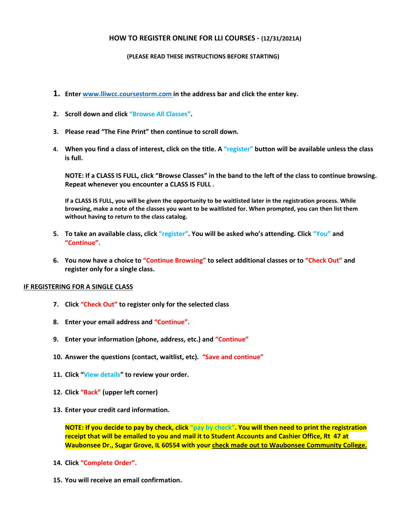## **HOW TO REGISTER ONLINE FOR LLI COURSES - (12/31/2021A)**

## **(PLEASE READ THESE INSTRUCTIONS BEFORE STARTING)**

- **1. Enter [www.lliwcc.coursestorm.com](about:blank) in the address bar and click the enter key.**
- **2. Scroll down and click "Browse All Classes".**
- **3. Please read "The Fine Print" then continue to scroll down.**
- **4. When you find a class of interest, click on the title. A "register" button will be available unless the class is full.**

**NOTE: If a CLASS IS FULL, click "Browse Classes" in the band to the left of the class to continue browsing. Repeat whenever you encounter a CLASS IS FULL .**

**If a CLASS IS FULL, you will be given the opportunity to be waitlisted later in the registration process. While browsing, make a note of the classes you want to be waitlisted for. When prompted, you can then list them without having to return to the class catalog.**

- **5. To take an available class, click "register". You will be asked who's attending. Click "You" and "Continue".**
- **6. You now have a choice to "Continue Browsing" to select additional classes or to "Check Out" and register only for a single class.**

## **IF REGISTERING FOR A SINGLE CLASS**

- **7. Click "Check Out" to register only for the selected class**
- **8. Enter your email address and "Continue".**
- **9. Enter your information (phone, address, etc.) and "Continue"**
- **10. Answer the questions (contact, waitlist, etc). "Save and continue"**
- **11. Click "View details" to review your order.**
- **12. Click "Back" (upper left corner)**
- **13. Enter your credit card information.**

**NOTE: If you decide to pay by check, click "pay by check". You will then need to print the registration receipt that will be emailed to you and mail it to Student Accounts and Cashier Office, Rt 47 at Waubonsee Dr., Sugar Grove, IL 60554 with your check made out to Waubonsee Community College.**

- **14. Click "Complete Order".**
- **15. You will receive an email confirmation.**